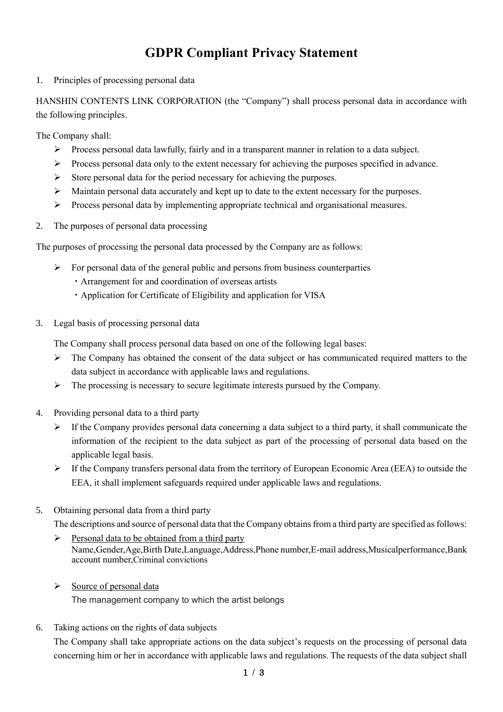## **GDPR Compliant Privacy Statement**

1. Principles of processing personal data

HANSHIN CONTENTS LINK CORPORATION (the "Company") shall process personal data in accordance with the following principles.

The Company shall:

- ➢ Process personal data lawfully, fairly and in a transparent manner in relation to a data subject.
- ➢ Process personal data only to the extent necessary for achieving the purposes specified in advance.
- ➢ Store personal data for the period necessary for achieving the purposes.
- $\triangleright$  Maintain personal data accurately and kept up to date to the extent necessary for the purposes.
- ➢ Process personal data by implementing appropriate technical and organisational measures.
- 2. The purposes of personal data processing

The purposes of processing the personal data processed by the Company are as follows:

- $\triangleright$  For personal data of the general public and persons from business counterparties
	- ・Arrangement for and coordination of overseas artists
		- ・Application for Certificate of Eligibility and application for VISA
- 3. Legal basis of processing personal data

The Company shall process personal data based on one of the following legal bases:

- ➢ The Company has obtained the consent of the data subject or has communicated required matters to the data subject in accordance with applicable laws and regulations.
- $\triangleright$  The processing is necessary to secure legitimate interests pursued by the Company.
- 4. Providing personal data to a third party
	- ➢ If the Company provides personal data concerning a data subject to a third party, it shall communicate the information of the recipient to the data subject as part of the processing of personal data based on the applicable legal basis.
	- ➢ If the Company transfers personal data from the territory of European Economic Area (EEA) to outside the EEA, it shall implement safeguards required under applicable laws and regulations.
- 5. Obtaining personal data from a third party

The descriptions and source of personal data that the Company obtains from a third party are specified as follows:

- $\triangleright$  Personal data to be obtained from a third party Name,Gender,Age,Birth Date,Language,Address,Phone number,E-mail address,Musicalperformance,Bank account number,Criminal convictions
- ➢ Source of personal data

The management company to which the artist belongs

6. Taking actions on the rights of data subjects

The Company shall take appropriate actions on the data subject's requests on the processing of personal data concerning him or her in accordance with applicable laws and regulations. The requests of the data subject shall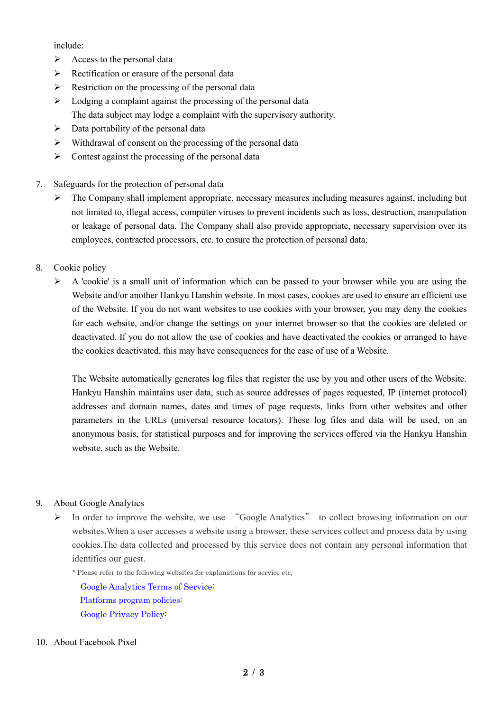include:

- $\triangleright$  Access to the personal data
- $\triangleright$  Rectification or erasure of the personal data
- $\triangleright$  Restriction on the processing of the personal data
- ➢ Lodging a complaint against the processing of the personal data The data subject may lodge a complaint with the supervisory authority.
- $\triangleright$  Data portability of the personal data
- ➢ Withdrawal of consent on the processing of the personal data
- $\triangleright$  Contest against the processing of the personal data
- 7. Safeguards for the protection of personal data
	- ➢ The Company shall implement appropriate, necessary measures including measures against, including but not limited to, illegal access, computer viruses to prevent incidents such as loss, destruction, manipulation or leakage of personal data. The Company shall also provide appropriate, necessary supervision over its employees, contracted processors, etc. to ensure the protection of personal data.
- 8. Cookie policy
	- ➢ A 'cookie' is a small unit of information which can be passed to your browser while you are using the Website and/or another Hankyu Hanshin website. In most cases, cookies are used to ensure an efficient use of the Website. If you do not want websites to use cookies with your browser, you may deny the cookies for each website, and/or change the settings on your internet browser so that the cookies are deleted or deactivated. If you do not allow the use of cookies and have deactivated the cookies or arranged to have the cookies deactivated, this may have consequences for the ease of use of a Website.

The Website automatically generates log files that register the use by you and other users of the Website. Hankyu Hanshin maintains user data, such as source addresses of pages requested, IP (internet protocol) addresses and domain names, dates and times of page requests, links from other websites and other parameters in the URLs (universal resource locators). These log files and data will be used, on an anonymous basis, for statistical purposes and for improving the services offered via the Hankyu Hanshin website, such as the Website.

## 9. About Google Analytics

- ➢ In order to improve the website, we use "Google Analytics" to collect browsing information on our websites.When a user accesses a website using a browser, these services collect and process data by using cookies.The data collected and processed by this service does not contain any personal information that identifies our guest.
	- \* Please refer to the following websites for explanations for service etc,

[Google Analytics Terms of Service:](https://marketingplatform.google.com/about/analytics/terms/us/) [Platforms program policies:](https://support.google.com/platformspolicy/answer/3013851?visit_id=637008233454005358-1757367541&rd=1&hl=en) [Google Privacy Policy:](https://policies.google.com/privacy?hl=en)

## 10. About Facebook Pixel